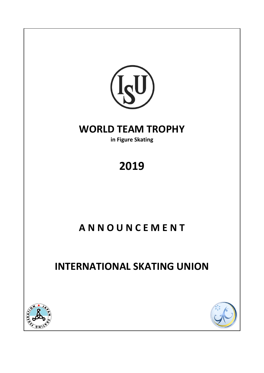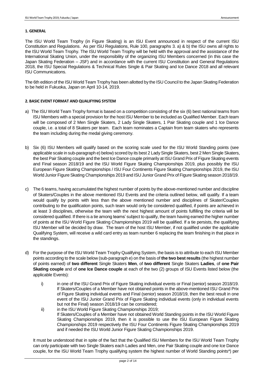# **1. GENERAL**

The ISU World Team Trophy (in Figure Skating) is an ISU Event announced in respect of the current ISU Constitution and Regulations. As per ISU Regulations, Rule 100, paragraphs 3. a) & b) the ISU owns all rights to the ISU World Team Trophy. The ISU World Team Trophy will be held with the approval and the assistance of the International Skating Union, under the responsibility of the organizing ISU Members concerned (in this case the Japan Skating Federation – JSF) and in accordance with the current ISU Constitution and General Regulations 2018, the ISU Special Regulations & Technical Rules Single & Pair Skating and Ice Dance 2018 and all relevant ISU Communications.

The 6th edition of the ISU World Team Trophy has been allotted by the ISU Council to the Japan Skating Federation to be held in Fukuoka, Japan on April 10-14, 2019.

# **2. BASIC EVENT FORMAT AND QUALIFYING SYSTEM**

- a) The ISU World Team Trophy format is based on a competition consisting of the six (6) best national teams from ISU Members with a special provision for the host ISU Member to be included as Qualified Member. Each team will be composed of 2 Men Single Skaters, 2 Lady Single Skaters, 1 Pair Skating couple and 1 Ice Dance couple, i.e. a total of 8 Skaters per team. Each team nominates a Captain from team skaters who represents the team including during the medal giving ceremony.
- b) Six (6) ISU Members will qualify based on the scoring scale used for the ISU World Standing points (see applicable scale in sub-paragraph e) below) scored by its best 2 Lady Single Skaters, best 2 Men Single Skaters, the best Pair Skating couple and the best Ice Dance couple primarily at ISU Grand Prix of Figure Skating events and Final season 2018/19 and the ISU World Figure Skating Championships 2019, plus possibly the ISU European Figure Skating Championships / ISU Four Continents Figure Skating Championships 2019, the ISU World Junior Figure Skating Championships 2019 and ISU Junior Grand Prix of Figure Skating season 2018/19.
- c) The 6 teams, having accumulated the highest number of points by the above-mentioned number and discipline of Skaters/Couples in the above mentioned ISU Events and the criteria outlined below, will qualify. If a team would qualify by points with less than the above mentioned number and disciplines of Skater/Couples contributing to the qualification points, such team would only be considered qualified, if points are achieved in at least 3 disciplines, otherwise the team with the next highest amount of points fulfilling the criteria will be considered qualified. If there is a tie among teams' subject to qualify, the team having earned the higher number of points at the ISU World Figure Skating Championships 2019 will be qualified. If a tie persists, the qualifying ISU Member will be decided by draw. The team of the host ISU Member, if not qualified under the applicable Qualifying System, will receive a wild card entry as team number 6 replacing the team finishing in that place in the standings.
- d) For the purpose of the ISU World Team Trophy Qualifying System, the basis is to attribute to each ISU Member points according to the scale below (sub-paragraph e) on the basis of **the two best results** (the highest number of points earned) of **two different** Single Skaters **Men**, of **two different** Single Skaters **Ladies**, of **one Pair Skating couple** and of **one Ice Dance couple** at each of the two (2) groups of ISU Events listed below (the applicable Events):
	- i) in one of the ISU Grand Prix of Figure Skating individual events or Final (senior) season 2018/19. If Skaters/Couples of a Member have not obtained points in the above-mentioned ISU Grand Prix of Figure Skating individual events and Final (senior) season 2018/19, then the best result in one event of the ISU Junior Grand Prix of Figure Skating individual events (only in individual events but not the Final) season 2018/19 can be considered;
	- ii) in the ISU World Figure Skating Championships 2019; If Skaters/Couples of a Member have not obtained World Standing points in the ISU World Figure Skating Championships 2019, then it is possible to use the ISU European Figure Skating Championships 2019 respectively the ISU Four Continents Figure Skating Championships 2019 and if needed the ISU World Junior Figure Skating Championships 2019.

It must be understood that in spite of the fact that the Qualified ISU Members for the ISU World Team Trophy can only participate with two Single Skaters each Ladies and Men, one Pair Skating couple and one Ice Dance couple, for the ISU World Team Trophy qualifying system the highest number of World Standing points\*) per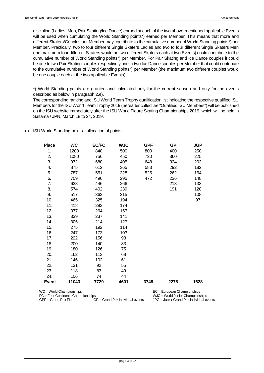discipline (Ladies, Men, Pair Skating/Ice Dance) earned at each of the two above-mentioned applicable Events will be used when cumulating the World Standing points\*) earned per Member. This means that more and different Skaters/Couples per Member may contribute to the cumulative number of World Standing points\*) per Member. Practically, two to four different Single Skaters Ladies and two to four different Single Skaters Men (the maximum four different Skaters would be two different Skaters each at two Events) could contribute to the cumulative number of World Standing points\*) per Member. For Pair Skating and Ice Dance couples it could be one to two Pair Skating couples respectively one to two Ice Dance couples per Member that could contribute to the cumulative number of World Standing points\*) per Member (the maximum two different couples would be one couple each at the two applicable Events).

\*) World Standing points are granted and calculated only for the current season and only for the events described as below in paragraph 2.e).

The corresponding ranking and ISU World Team Trophy qualification list indicating the respective qualified ISU Members for the ISU World Team Trophy 2019 (hereafter called the "Qualified ISU Members") will be published on the ISU website immediately after the ISU World Figure Skating Championships 2019, which will be held in Saitama / JPN, March 18 to 24, 2019.

| <b>Place</b> | <b>WC</b> | <b>EC/FC</b> | <b>WJC</b> | <b>GPF</b> | <b>GP</b> | <b>JGP</b> |
|--------------|-----------|--------------|------------|------------|-----------|------------|
| 1.           | 1200      | 840          | 500        | 800        | 400       | 250        |
| 2.           | 1080      | 756          | 450        | 720        | 360       | 225        |
| 3.           | 972       | 680          | 405        | 648        | 324       | 203        |
| 4.           | 875       | 612          | 365        | 583        | 292       | 182        |
| 5.           | 787       | 551          | 328        | 525        | 262       | 164        |
| 6.           | 709       | 496          | 295        | 472        | 236       | 148        |
| 7.           | 638       | 446          | 266        |            | 213       | 133        |
| 8.           | 574       | 402          | 239        |            | 191       | 120        |
| 9.           | 517       | 362          | 215        |            |           | 108        |
| 10.          | 465       | 325          | 194        |            |           | 97         |
| 11.          | 418       | 293          | 174        |            |           |            |
| 12.          | 377       | 264          | 157        |            |           |            |
| 13.          | 339       | 237          | 141        |            |           |            |
| 14.          | 305       | 214          | 127        |            |           |            |
| 15.          | 275       | 192          | 114        |            |           |            |
| 16.          | 247       | 173          | 103        |            |           |            |
| 17.          | 222       | 156          | 93         |            |           |            |
| 18.          | 200       | 140          | 83         |            |           |            |
| 19.          | 180       | 126          | 75         |            |           |            |
| 20.          | 162       | 113          | 68         |            |           |            |
| 21.          | 146       | 102          | 61         |            |           |            |
| 22.          | 131       | 92           | 55         |            |           |            |
| 23.          | 118       | 83           | 49         |            |           |            |
| 24.          | 106       | 74           | 44         |            |           |            |
| <b>Event</b> | 11043     | 7729         | 4601       | 3748       | 2278      | 1628       |

e) ISU World Standing points - allocation of points:

FC = Four Continents Championships WJC = World Junior Championships

WC = World Championships <br>
FC = European Championships <br>
FC = Eour Continents Championships <br>
WJC = World Junior Champions  $JPG =$  Junior Grand Prix individual events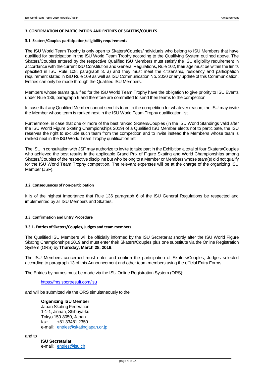### **3. CONFIRMATION OF PARTICIPATION AND ENTRIES OF SKATERS/COUPLES**

### **3.1. Skaters/Couples participation/eligibility requirements**

The ISU World Team Trophy is only open to Skaters/Couples/individuals who belong to ISU Members that have qualified for participation in the ISU World Team Trophy according to the Qualifying System outlined above. The Skaters/Couples entered by the respective Qualified ISU Members must satisfy the ISU eligibility requirement in accordance with the current ISU Constitution and General Regulations, Rule 102, their age must be within the limits specified in ISU Rule 108, paragraph 3. a) and they must meet the citizenship, residency and participation requirement stated in ISU Rule 109 as well as ISU Communication No. 2030 or any update of this Communication. Entries can only be made through the Qualified ISU Members.

Members whose teams qualified for the ISU World Team Trophy have the obligation to give priority to ISU Events under Rule 136, paragraph 6 and therefore are committed to send their teams to the competition.

In case that any Qualified Member cannot send its team to the competition for whatever reason, the ISU may invite the Member whose team is ranked next in the ISU World Team Trophy qualification list.

Furthermore, in case that one or more of the best ranked Skaters/Couples (in the ISU World Standings valid after the ISU World Figure Skating Championships 2019) of a Qualified ISU Member elects not to participate, the ISU reserves the right to exclude such team from the competition and to invite instead the Member/s whose team is ranked next in the ISU World Team Trophy qualification list.

The ISU in consultation with JSF may authorize to invite to take part in the Exhibition a total of four Skaters/Couples who achieved the best results in the applicable Grand Prix of Figure Skating and World Championships among Skaters/Couples of the respective discipline but who belong to a Member or Members whose team(s) did not qualify for the ISU World Team Trophy competition. The relevant expenses will be at the charge of the organizing ISU Member (JSF).

### **3.2. Consequences of non-participation**

It is of the highest importance that Rule 136 paragraph 6 of the ISU General Regulations be respected and implemented by all ISU Members and Skaters.

## **3.3. Confirmation and Entry Procedure**

### **3.3.1. Entries of Skaters/Couples, Judges and team members**

The Qualified ISU Members will be officially informed by the ISU Secretariat shortly after the ISU World Figure Skating Championships 2019 and must enter their Skaters/Couples plus one substitute via the Online Registration System (ORS) by **Thursday, March 28, 2019**.

The ISU Members concerned must enter and confirm the participation of Skaters/Couples, Judges selected according to paragraph 13 of this Announcement and other team members using the official Entry Forms

The Entries by names must be made via the ISU Online Registration System (ORS):

## <https://fms.sportresult.com/isu>

and will be submitted via the ORS simultaneously to the

# **Organizing ISU Member**

Japan Skating Federation 1-1-1, Jinnan, Shibuya-ku Tokyo 150-8050, Japan fax: +81 33481 2350 e-mail: [entries@skatingjapan.or.jp](mailto:entries@skatingjapan.or.jp)

and to

**ISU Secretariat** e-mail: [entries@isu.ch](mailto:entries@isu.ch)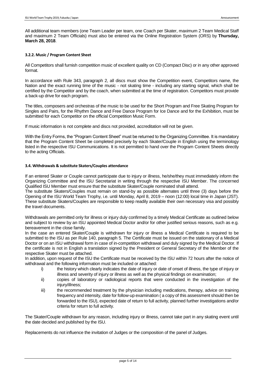All additional team members (one Team Leader per team, one Coach per Skater, maximum 2 Team Medical Staff and maximum 2 Team Officials) must also be entered via the Online Registration System (ORS) by **Thursday, March 28, 2018**.

# **3.2.2. Music / Program Content Sheet**

All Competitors shall furnish competition music of excellent quality on CD (Compact Disc) or in any other approved format.

In accordance with Rule 343, paragraph 2, all discs must show the Competition event, Competitors name, the Nation and the exact running time of the music - not skating time - including any starting signal, which shall be certified by the Competitor and by the coach, when submitted at the time of registration. Competitors must provide a back-up drive for each program.

The titles, composers and orchestras of the music to be used for the Short Program and Free Skating Program for Singles and Pairs, for the Rhythm Dance and Free Dance Program for Ice Dance and for the Exhibition, must be submitted for each Competitor on the official Competition Music Form.

If music information is not complete and discs not provided, accreditation will not be given.

With the Entry Forms, the "Program Content Sheet" must be returned to the Organizing Committee. It is mandatory that the Program Content Sheet be completed precisely by each Skater/Couple in English using the terminology listed in the respective ISU Communications. It is not permitted to hand over the Program Content Sheets directly to the acting Officials.

# **3.4. Withdrawals & substitute Skaters/Couples attendance**

If an entered Skater or Couple cannot participate due to injury or illness, he/she/they must immediately inform the Organizing Committee and the ISU Secretariat in writing through the respective ISU Member. The concerned Qualified ISU Member must ensure that the substitute Skater/Couple nominated shall attend.

The substitute Skaters/Couples must remain on stand-by as possible alternates until three (3) days before the Opening of the ISU World Team Trophy, i.e. until Monday, April 8, 2019 – noon (12:00) local time in Japan (JST). These substitute Skaters/Couples are responsible to keep readily available their own necessary visa and possibly the travel documents.

Withdrawals are permitted only for illness or injury duly confirmed by a timely Medical Certificate as outlined below and subject to review by an ISU appointed Medical Doctor and/or for other justified serious reasons, such as e.g. bereavement in the close family.

In the case an entered Skater/Couple is withdrawn for injury or illness a Medical Certificate is required to be submitted to the ISU as per Rule 140, paragraph 5. The Certificate must be issued on the stationary of a Medical Doctor or on an ISU withdrawal form in case of in-competition withdrawal and duly signed by the Medical Doctor. If the certificate is not in English a translation signed by the President or General Secretary of the Member of the respective Skater must be attached.

In addition, upon request of the ISU the Certificate must be received by the ISU within 72 hours after the notice of withdrawal and the following information must be included or attached:

- i) the history which clearly indicates the date of injury or date of onset of illness, the type of injury or illness and severity of injury or illness as well as the physical findings on examination;
- ii) copies of laboratory or radiological reports that were conducted in the investigation of the iniurv/illness:
- iii) the recommended treatment by the physician including medications, therapy, advice on training frequency and intensity, date for follow-up examination ( a copy of this assessment should then be forwarded to the ISU), expected date of return to full activity, planned further investigations and/or criteria for return to full activity.

The Skater/Couple withdrawn for any reason, including injury or illness, cannot take part in any skating event until the date decided and published by the ISU.

Replacements do not influence the invitation of Judges or the composition of the panel of Judges.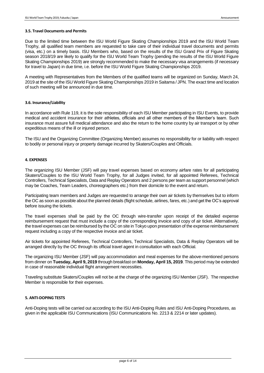### **3.5. Travel Documents and Permits**

Due to the limited time between the ISU World Figure Skating Championships 2019 and the ISU World Team Trophy, all qualified team members are requested to take care of their individual travel documents and permits (visa, etc.) on a timely basis. ISU Members who, based on the results of the ISU Grand Prix of Figure Skating season 2018/19 are likely to qualify for the ISU World Team Trophy (pending the results of the ISU World Figure Skating Championships 2019) are strongly recommended to make the necessary visa arrangements (if necessary for travel to Japan) in due time, i.e. before the ISU World Figure Skating Championships 2019.

A meeting with Representatives from the Members of the qualified teams will be organized on Sunday, March 24, 2019 at the site of the ISU World Figure Skating Championships 2019 in Saitama / JPN. The exact time and location of such meeting will be announced in due time.

### **3.6. Insurance/Liability**

In accordance with Rule 119, it is the sole responsibility of each ISU Member participating in ISU Events, to provide medical and accident insurance for their athletes, officials and all other members of the Member's team. Such insurance must assure full medical attendance and also the return to the home country by air transport or by other expeditious means of the ill or injured person.

The ISU and the Organizing Committee (Organizing Member) assumes no responsibility for or liability with respect to bodily or personal injury or property damage incurred by Skaters/Couples and Officials.

### **4. EXPENSES**

The organizing ISU Member (JSF) will pay travel expenses based on economy airfare rates for all participating Skaters/Couples to the ISU World Team Trophy, for all Judges invited, for all appointed Referees, Technical Controllers, Technical Specialists, Data and Replay Operators and 2 persons per team as support personnel (which may be Coaches, Team Leaders, choreographers etc.) from their domicile to the event and return.

Participating team members and Judges are requested to arrange their own air tickets by themselves but to inform the OC as soon as possible about the planned details (flight schedule, airlines, fares, etc.) and get the OC's approval before issuing the tickets.

The travel expenses shall be paid by the OC through wire-transfer upon receipt of the detailed expense reimbursement request that must include a copy of the corresponding invoice and copy of air ticket. Alternatively, the travel expenses can be reimbursed by the OC on site in Tokyo upon presentation of the expense reimbursement request including a copy of the respective invoice and air ticket.

Air tickets for appointed Referees, Technical Controllers, Technical Specialists, Data & Replay Operators will be arranged directly by the OC through its official travel agent in consultation with each Official.

The organizing ISU Member (JSF) will pay accommodation and meal expenses for the above-mentioned persons from dinner on **Tuesday, April 9, 2019** through breakfast on **Monday, April 15, 2019**. This period may be extended in case of reasonable individual flight arrangement necessities.

Traveling substitute Skaters/Couples will not be at the charge of the organizing ISU Member (JSF). The respective Member is responsible for their expenses.

# **5. ANTI-DOPING TESTS**

Anti-Doping tests will be carried out according to the ISU Anti-Doping Rules and ISU Anti-Doping Procedures, as given in the applicable ISU Communications (ISU Communications No. 2213 & 2214 or later updates).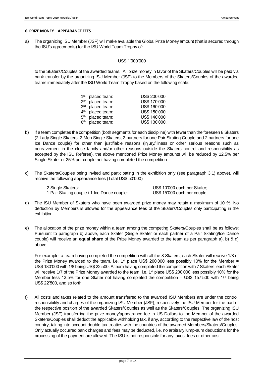### **6. PRIZE MONEY – APPEARANCE FEES**

a) The organizing ISU Member (JSF) will make available the Global Prize Money amount (that is secured through the ISU's agreements) for the ISU World Team Trophy of:

# US\$ 1'000'000

to the Skaters/Couples of the awarded teams. All prize money in favor of the Skaters/Couples will be paid via bank transfer by the organizing ISU Member (JSF) to the Members of the Skaters/Couples of the awarded teams immediately after the ISU World Team Trophy based on the following scale:

|                 | $1st$ placed team: | US\$ 200'000  |
|-----------------|--------------------|---------------|
| 2 <sub>nd</sub> | placed team:       | US\$ 170'000  |
| 3 <sup>rd</sup> | placed team:       | US\$ 160'000  |
| 4 <sup>th</sup> | placed team:       | US\$ 150'000  |
| 5 <sup>th</sup> | placed team:       | US\$ 140'000  |
| 6 <sup>th</sup> | placed team:       | US\$ 130'000. |

- b) If a team completes the competition (both segments for each discipline) with fewer than the foreseen 8 Skaters (2 Lady Single Skaters, 2 Men Single Skaters, 2 partners for one Pair Skating Couple and 2 partners for one Ice Dance couple) for other than justifiable reasons (injury/illness or other serious reasons such as bereavement in the close family and/or other reasons outside the Skaters control and responsibility as accepted by the ISU Referee), the above mentioned Prize Money amounts will be reduced by 12.5% per Single Skater or 25% per couple not having completed the competition.
- c) The Skaters/Couples being invited and participating in the exhibition only (see paragraph 3.1) above), will receive the following appearance fees (Total US\$ 50'000)

 2 Single Skaters: US\$ 10'000 each per Skater; 1 Pair Skating couple / 1 Ice Dance couple: US\$ 15'000 each per couple.

- d) The ISU Member of Skaters who have been awarded prize money may retain a maximum of 10 %. No deduction by Members is allowed for the appearance fees of the Skaters/Couples only participating in the exhibition.
- e) The allocation of the prize money within a team among the competing Skaters/Couples shall be as follows: Pursuant to paragraph b) above, each Skater (Single Skater or each partner of a Pair Skating/Ice Dance couple) will receive an **equal share** of the Prize Money awarded to the team as per paragraph a), b) & d) above.

For example, a team having completed the competition with all the 8 Skaters, each Skater will receive 1/8 of the Prize Money awarded to the team, i.e.  $1<sup>st</sup>$  place US\$ 200'000 less possibly 10% for the Member = US\$ 180'000 with 1/8 being US\$ 22'500. A team having completed the competition with 7 Skaters, each Skater will receive 1/7 of the Prize Money awarded to the team, i.e. 1<sup>st</sup> place US\$ 200'000 less possibly 10% for the Member less 12.5% for one Skater not having completed the competition = US\$ 157'500 with 1/7 being US\$ 22'500, and so forth.

f) All costs and taxes related to the amount transferred to the awarded ISU Members are under the control, responsibility and charges of the organizing ISU Member (JSF), respectively the ISU Member for the part of the respective position of the awarded Skaters/Couples as well as the Skaters/Couples. The organizing ISU Member (JSF) transferring the prize money/appearance fee in US Dollars to the Member of the awarded Skaters/Couples shall deduct the applicable withholding tax, if any, according to the respective law of the host country, taking into account double tax treaties with the countries of the awarded Members/Skaters/Couples. Only actually occurred bank charges and fees may be deducted, i.e. no arbitrary lump-sum deductions for the processing of the payment are allowed. The ISU is not responsible for any taxes, fees or other cost.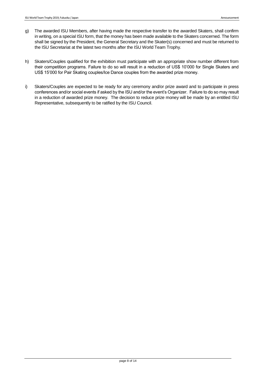- g) The awarded ISU Members, after having made the respective transfer to the awarded Skaters, shall confirm in writing, on a special ISU form, that the money has been made available to the Skaters concerned. The form shall be signed by the President, the General Secretary and the Skater(s) concerned and must be returned to the ISU Secretariat at the latest two months after the ISU World Team Trophy.
- h) Skaters/Couples qualified for the exhibition must participate with an appropriate show number different from their competition programs. Failure to do so will result in a reduction of US\$ 10'000 for Single Skaters and US\$ 15'000 for Pair Skating couples/Ice Dance couples from the awarded prize money.
- i) Skaters/Couples are expected to be ready for any ceremony and/or prize award and to participate in press conferences and/or social events if asked by the ISU and/or the event's Organizer. Failure to do so may result in a reduction of awarded prize money. The decision to reduce prize money will be made by an entitled ISU Representative, subsequently to be ratified by the ISU Council.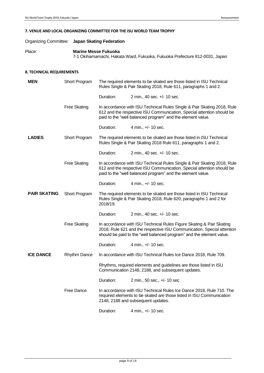## **7. VENUE AND LOCAL ORGANIZING COMMITTEE FOR THE ISU WORLD TEAM TROPHY**

# Organizing Committee: **Japan Skating Federation**

Place: **Marine Messe Fukuoka**

```
7-1 Okihamamachi, Hakata Ward, Fukuoka, Fukuoka Prefecture 812-0031, Japan
```
# **8. TECHNICAL REQUIREMENTS**

| <b>MEN</b>          | Short Program             | The required elements to be skated are those listed in ISU Technical<br>Rules Single & Pair Skating 2018, Rule 611, paragraphs 1 and 2. |                                                                                                                                                                                                                        |  |  |
|---------------------|---------------------------|-----------------------------------------------------------------------------------------------------------------------------------------|------------------------------------------------------------------------------------------------------------------------------------------------------------------------------------------------------------------------|--|--|
|                     |                           | Duration:                                                                                                                               | 2 min., 40 sec. +/- 10 sec.                                                                                                                                                                                            |  |  |
|                     | <b>Free Skating</b>       |                                                                                                                                         | In accordance with ISU Technical Rules Single & Pair Skating 2018, Rule<br>612 and the respective ISU Communication. Special attention should be<br>paid to the "well balanced program" and the element value.         |  |  |
|                     |                           | Duration:                                                                                                                               | 4 min., +/- 10 sec.                                                                                                                                                                                                    |  |  |
| <b>LADIES</b>       | Short Program             | The required elements to be skated are those listed in ISU Technical<br>Rules Single & Pair Skating 2018 Rule 611, paragraphs 1 and 2.  |                                                                                                                                                                                                                        |  |  |
|                     |                           | Duration:                                                                                                                               | 2 min., 40 sec. +/- 10 sec.                                                                                                                                                                                            |  |  |
|                     | <b>Free Skating</b>       |                                                                                                                                         | In accordance with ISU Technical Rules Single & Pair Skating 2018, Rule<br>612 and the respective ISU Communication. Special attention should be<br>paid to the "well balanced program" and the element value.         |  |  |
|                     |                           | Duration:                                                                                                                               | 4 min., +/- 10 sec.                                                                                                                                                                                                    |  |  |
| <b>PAIR SKATING</b> | Short Program<br>2018/19. |                                                                                                                                         | The required elements to be skated are those listed in ISU Technical<br>Rules Single & Pair Skating 2018, Rule 620, paragraphs 1 and 2 for                                                                             |  |  |
|                     |                           | Duration:                                                                                                                               | 2 min., 40 sec. +/- 10 sec.                                                                                                                                                                                            |  |  |
|                     | <b>Free Skating</b>       |                                                                                                                                         | In accordance with ISU Technical Rules Figure Skating & Pair Skating<br>2018, Rule 621 and the respective ISU Communication. Special attention<br>should be paid to the "well balanced program" and the element value. |  |  |
|                     |                           | Duration:                                                                                                                               | 4 min., +/- 10 sec.                                                                                                                                                                                                    |  |  |
| <b>ICE DANCE</b>    | <b>Rhythm Dance</b>       |                                                                                                                                         | In accordance with ISU Technical Rules Ice Dance 2018, Rule 709.                                                                                                                                                       |  |  |
|                     |                           | Rhythms, required elements and guidelines are those listed in ISU<br>Communication 2148, 2188, and subsequent updates.                  |                                                                                                                                                                                                                        |  |  |
|                     |                           | Duration:                                                                                                                               | 2 min., 50 sec., +/- 10 sec                                                                                                                                                                                            |  |  |
|                     | <b>Free Dance</b>         |                                                                                                                                         | In accordance with ISU Technical Rules Ice Dance 2018, Rule 710. The<br>required elements to be skated are those listed in ISU Communication<br>2148, 2188 and subsequent updates.                                     |  |  |
|                     |                           | Duration:                                                                                                                               | 4 min., +/- 10 sec.                                                                                                                                                                                                    |  |  |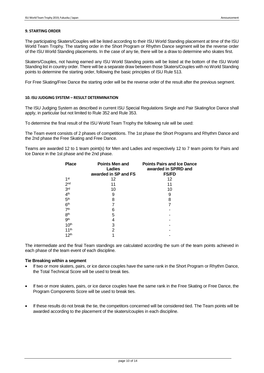## **9. STARTING ORDER**

The participating Skaters/Couples will be listed according to their ISU World Standing placement at time of the ISU World Team Trophy. The starting order in the Short Program or Rhythm Dance segment will be the reverse order of the ISU World Standing placements. In the case of any tie, there will be a draw to determine who skates first.

Skaters/Couples, not having earned any ISU World Standing points will be listed at the bottom of the ISU World Standing list in country order. There will be a separate draw between those Skaters/Couples with no World Standing points to determine the starting order, following the basic principles of ISU Rule 513.

For Free Skating/Free Dance the starting order will be the reverse order of the result after the previous segment.

## **10. ISU JUDGING SYSTEM – RESULT DETERMINATION**

The ISU Judging System as described in current ISU Special Regulations Single and Pair Skating/Ice Dance shall apply, in particular but not limited to Rule 352 and Rule 353.

To determine the final result of the ISU World Team Trophy the following rule will be used:

The Team event consists of 2 phases of competitions. The 1st phase the Short Programs and Rhythm Dance and the 2nd phase the Free Skating and Free Dance.

Teams are awarded 12 to 1 team point(s) for Men and Ladies and respectively 12 to 7 team points for Pairs and Ice Dance in the 1st phase and the 2nd phase.

| <b>Points Men and</b><br>Ladies | <b>Points Pairs and Ice Dance</b><br>awarded in SP/RD and |  |
|---------------------------------|-----------------------------------------------------------|--|
|                                 | <b>FS/FD</b>                                              |  |
| 12                              | 12                                                        |  |
| 11                              | 11                                                        |  |
| 10                              | 10                                                        |  |
| 9                               | 9                                                         |  |
| 8                               | 8                                                         |  |
|                                 |                                                           |  |
| 6                               |                                                           |  |
| 5                               |                                                           |  |
| 4                               |                                                           |  |
| 3                               |                                                           |  |
| 2                               |                                                           |  |
|                                 |                                                           |  |
|                                 | awarded in SP and FS                                      |  |

The intermediate and the final Team standings are calculated according the sum of the team points achieved in each phase of the team event of each discipline.

## **Tie Breaking within a segment**

- If two or more skaters, pairs, or ice dance couples have the same rank in the Short Program or Rhythm Dance, the Total Technical Score will be used to break ties.
- If two or more skaters, pairs, or ice dance couples have the same rank in the Free Skating or Free Dance, the Program Components Score will be used to break ties.
- If these results do not break the tie, the competitors concerned will be considered tied. The Team points will be awarded according to the placement of the skaters/couples in each discipline.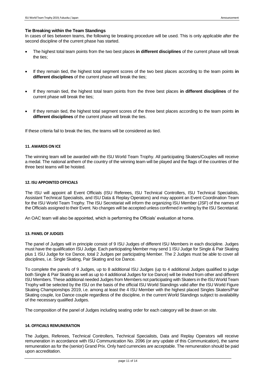## **Tie Breaking within the Team Standings**

In cases of ties between teams, the following tie breaking procedure will be used. This is only applicable after the second discipline of the current phase has started.

- The highest total team points from the two best places **in different disciplines** of the current phase will break the ties;
- If they remain tied, the highest total segment scores of the two best places according to the team points **in different disciplines** of the current phase will break the ties;
- If they remain tied, the highest total team points from the three best places **in different disciplines** of the current phase will break the ties;
- If they remain tied, the highest total segment scores of the three best places according to the team points **in different disciplines** of the current phase will break the ties.

If these criteria fail to break the ties, the teams will be considered as tied.

### **11. AWARDS ON ICE**

The winning team will be awarded with the ISU World Team Trophy. All participating Skaters/Couples will receive a medal. The national anthem of the country of the winning team will be played and the flags of the countries of the three best teams will be hoisted.

### **12. ISU APPOINTED OFFICIALS**

The ISU will appoint all Event Officials (ISU Referees, ISU Technical Controllers, ISU Technical Specialists, Assistant Technical Specialists, and ISU Data & Replay Operators) and may appoint an Event Coordination Team for the ISU World Team Trophy. The ISU Secretariat will inform the organizing ISU Member (JSF) of the names of the Officials assigned to their Event. No changes will be accepted unless confirmed in writing by the ISU Secretariat.

An OAC team will also be appointed, which is performing the Officials' evaluation at home.

### **13. PANEL OF JUDGES**

The panel of Judges will in principle consist of 9 ISU Judges of different ISU Members in each discipline. Judges must have the qualification ISU Judge. Each participating Member may send 1 ISU Judge for Single & Pair Skating plus 1 ISU Judge for Ice Dance, total 2 Judges per participating Member. The 2 Judges must be able to cover all disciplines, i.e. Single Skating, Pair Skating and Ice Dance.

To complete the panels of 9 Judges, up to 8 additional ISU Judges (up to 4 additional Judges qualified to judge both Single & Pair Skating as well as up to 4 additional Judges for Ice Dance) will be invited from other and different ISU Members. These additional needed Judges from Members not participating with Skaters in the ISU World Team Trophy will be selected by the ISU on the basis of the official ISU World Standings valid after the ISU World Figure Skating Championships 2019, i.e. among at least the 4 ISU Member with the highest placed Singles Skaters/Pair Skating couple, Ice Dance couple regardless of the discipline, in the current World Standings subject to availability of the necessary qualified Judges.

The composition of the panel of Judges including seating order for each category will be drawn on site.

### **14. OFFICIALS REMUNERATION**

The Judges, Referees, Technical Controllers, Technical Specialists, Data and Replay Operators will receive remuneration in accordance with ISU Communication No. 2096 (or any update of this Communication), the same remuneration as for the (senior) Grand Prix. Only hard currencies are acceptable. The remuneration should be paid upon accreditation.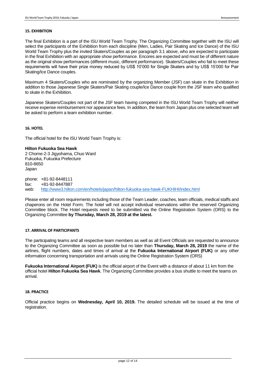### **15. EXHIBITION**

The final Exhibition is a part of the ISU World Team Trophy. The Organizing Committee together with the ISU will select the participants of the Exhibition from each discipline (Men, Ladies, Pair Skating and Ice Dance) of the ISU World Team Trophy plus the invited Skaters/Couples as per paragraph 3.1 above, who are expected to participate in the final Exhibition with an appropriate show performance. Encores are expected and must be of different nature as the original show performances (different music, different performance). Skaters/Couples who fail to meet these requirements will have their prize money reduced by US\$ 10'000 for Single Skaters and by US\$ 15'000 for Pair Skating/Ice Dance couples.

Maximum 4 Skaters/Couples who are nominated by the organizing Member (JSF) can skate in the Exhibition in addition to those Japanese Single Skaters/Pair Skating couple/Ice Dance couple from the JSF team who qualified to skate in the Exhibition.

Japanese Skaters/Couples not part of the JSF team having competed in the ISU World Team Trophy will neither receive expense reimbursement nor appearance fees. In addition, the team from Japan plus one selected team will be asked to perform a team exhibition number.

# **16. HOTEL**

The official hotel for the ISU World Team Trophy is:

**Hilton Fukuoka Sea Hawk** 2 Chome-2-3 Jigyohama, Chuo Ward Fukuoka, Fukuoka Prefecture 810-8650 Japan

phone: +81-92-8448111 fax: +81-92-8447887 web: <http://www3.hilton.com/en/hotels/japan/hilton-fukuoka-sea-hawk-FUKHIHI/index.html>

Please enter all room requirements including those of the Team Leader, coaches, team officials, medical staffs and chaperons on the Hotel Form. The hotel will not accept individual reservations within the reserved Organizing Committee block. The Hotel requests need to be submitted via the Online Registration System (ORS) to the Organizing Committee **by Thursday, March 28, 2019 at the latest.** 

### **17. ARRIVAL OF PARTICIPANTS**

The participating teams and all respective team members as well as all Event Officials are requested to announce to the Organizing Committee as soon as possible but no later than **Thursday, March 28, 2019** the name of the airlines, flight numbers, dates and times of arrival at the **Fukuoka International Airport (FUK)** or any other information concerning transportation and arrivals using the Online Registration System (ORS)

**Fukuoka International Airport (FUK)** is the official airport of the Event with a distance of about 11 km from the official hotel **Hilton Fukuoka Sea Hawk**. The Organizing Committee provides a bus shuttle to meet the teams on arrival.

## **18. PRACTICE**

Official practice begins on **Wednesday, April 10, 2019.** The detailed schedule will be issued at the time of registration.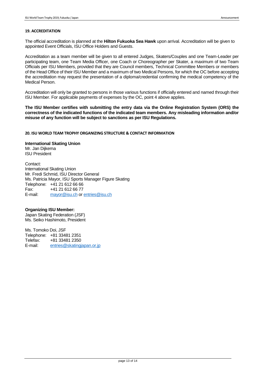# **19. ACCREDITATION**

The official accreditation is planned at the **Hilton Fukuoka Sea Hawk** upon arrival. Accreditation will be given to appointed Event Officials, ISU Office Holders and Guests.

Accreditation as a team member will be given to all entered Judges, Skaters/Couples and one Team-Leader per participating team, one Team Media Officer, one Coach or Choreographer per Skater, a maximum of two Team Officials per ISU Members, provided that they are Council members, Technical Committee Members or members of the Head Office of their ISU Member and a maximum of two Medical Persons, for which the OC before accepting the accreditation may request the presentation of a diploma/credential confirming the medical competency of the Medical Person.

Accreditation will only be granted to persons in those various functions if officially entered and named through their ISU Member. For applicable payments of expenses by the OC, point 4 above applies.

**The ISU Member certifies with submitting the entry data via the Online Registration System (ORS) the correctness of the indicated functions of the indicated team members. Any misleading information and/or misuse of any function will be subject to sanctions as per ISU Regulations.** 

### **20. ISU WORLD TEAM TROPHY ORGANIZING STRUCTURE & CONTACT INFORMATION**

**International Skating Union** Mr. Jan Dijkema

ISU President

Contact: International Skating Union Mr. Fredi Schmid, ISU Director General Ms. Patricia Mayor, ISU Sports Manager Figure Skating Telephone: +41 21 612 66 66 Fax: +41 21 612 66 77 E-mail: [mayor@isu.ch](mailto:mayor@isu.ch) o[r entries@isu.ch](mailto:entries@isu.ch)

## **Organizing ISU Member:**

Japan Skating Federation (JSF) Ms. Seiko Hashimoto, President

Ms. Tomoko Doi, JSF Telephone: +81 33481 2351<br>Telefax: +81 33481 2350 Telefax:  $+81$  33481 2350<br>E-mail: entries@skatingi [entries@skatingjapan.or.jp](mailto:entries@skatingjapan.or.jp)